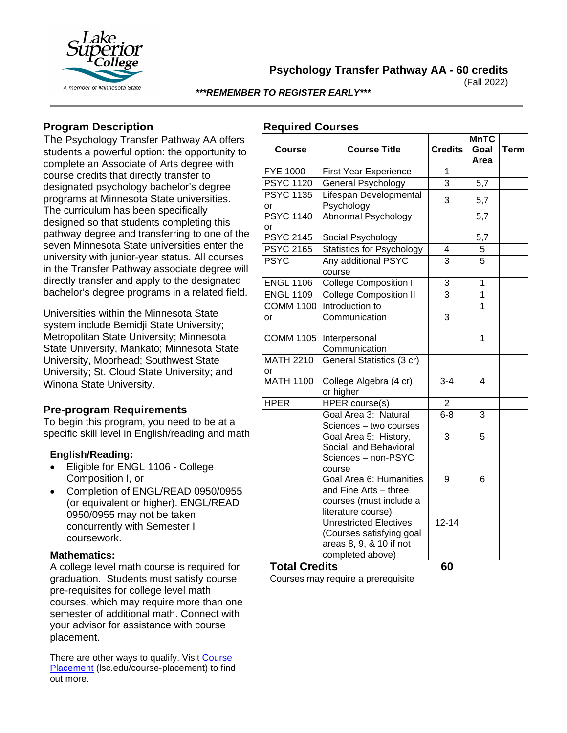

**Psychology Transfer Pathway AA - 60 credits**

(Fall 2022)

*\*\*\*REMEMBER TO REGISTER EARLY\*\*\**

# **Program Description**

The Psychology Transfer Pathway AA offers students a powerful option: the opportunity to complete an Associate of Arts degree with course credits that directly transfer to designated psychology bachelor's degree programs at Minnesota State universities. The curriculum has been specifically designed so that students completing this pathway degree and transferring to one of the seven Minnesota State universities enter the university with junior-year status. All courses in the Transfer Pathway associate degree will directly transfer and apply to the designated bachelor's degree programs in a related field.

Universities within the Minnesota State system include Bemidji State University; Metropolitan State University; Minnesota State University, Mankato; Minnesota State University, Moorhead; Southwest State University; St. Cloud State University; and Winona State University.

# **Pre-program Requirements**

To begin this program, you need to be at a specific skill level in English/reading and math

### **English/Reading:**

- Eligible for ENGL 1106 College Composition I, or
- Completion of ENGL/READ 0950/0955 (or equivalent or higher). ENGL/READ 0950/0955 may not be taken concurrently with Semester I coursework.

### **Mathematics:**

A college level math course is required for graduation. Students must satisfy course pre-requisites for college level math courses, which may require more than one semester of additional math. Connect with your advisor for assistance with course placement.

There are other ways to qualify. Visit [Course](https://www.lsc.edu/course-placement/)  [Placement](https://www.lsc.edu/course-placement/) (lsc.edu/course-placement) to find out more.

## **Required Courses**

| Course                 | <b>Course Title</b>                                                                                      | <b>Credits</b> | <b>MnTC</b><br>Goal<br>Area | <b>Term</b> |
|------------------------|----------------------------------------------------------------------------------------------------------|----------------|-----------------------------|-------------|
| <b>FYE 1000</b>        | <b>First Year Experience</b>                                                                             | 1              |                             |             |
| <b>PSYC 1120</b>       | <b>General Psychology</b>                                                                                | 3              | 5,7                         |             |
| <b>PSYC 1135</b><br>or | Lifespan Developmental<br>Psychology                                                                     | 3              | 5,7                         |             |
| <b>PSYC 1140</b><br>or | Abnormal Psychology                                                                                      |                | 5,7                         |             |
| <b>PSYC 2145</b>       | Social Psychology                                                                                        |                | 5,7                         |             |
| <b>PSYC 2165</b>       | <b>Statistics for Psychology</b>                                                                         | 4              | 5                           |             |
| <b>PSYC</b>            | Any additional PSYC<br>course                                                                            | $\overline{3}$ | 5                           |             |
| <b>ENGL 1106</b>       | College Composition I                                                                                    | $\overline{3}$ | $\overline{1}$              |             |
| <b>ENGL 1109</b>       | <b>College Composition II</b>                                                                            | $\overline{3}$ | 1                           |             |
| <b>COMM 1100</b>       | Introduction to                                                                                          |                | 1                           |             |
| or                     | Communication                                                                                            | 3              |                             |             |
| <b>COMM 1105</b>       | Interpersonal<br>Communication                                                                           |                | 1                           |             |
| <b>MATH 2210</b>       | General Statistics (3 cr)                                                                                |                |                             |             |
| or                     |                                                                                                          |                |                             |             |
| <b>MATH 1100</b>       | College Algebra (4 cr)<br>or higher                                                                      | $3 - 4$        | $\overline{4}$              |             |
| <b>HPER</b>            | HPER course(s)                                                                                           | 2              |                             |             |
|                        | Goal Area 3: Natural<br>Sciences - two courses                                                           | $6 - 8$        | 3                           |             |
|                        | Goal Area 5: History,<br>Social, and Behavioral<br>Sciences - non-PSYC<br>course                         | 3              | 5                           |             |
|                        | Goal Area 6: Humanities<br>and Fine Arts - three<br>courses (must include a<br>literature course)        | 9              | 6                           |             |
|                        | <b>Unrestricted Electives</b><br>(Courses satisfying goal<br>areas 8, 9, & 10 if not<br>completed above) | $12 - 14$      |                             |             |

**Total Credits 60** Courses may require a prerequisite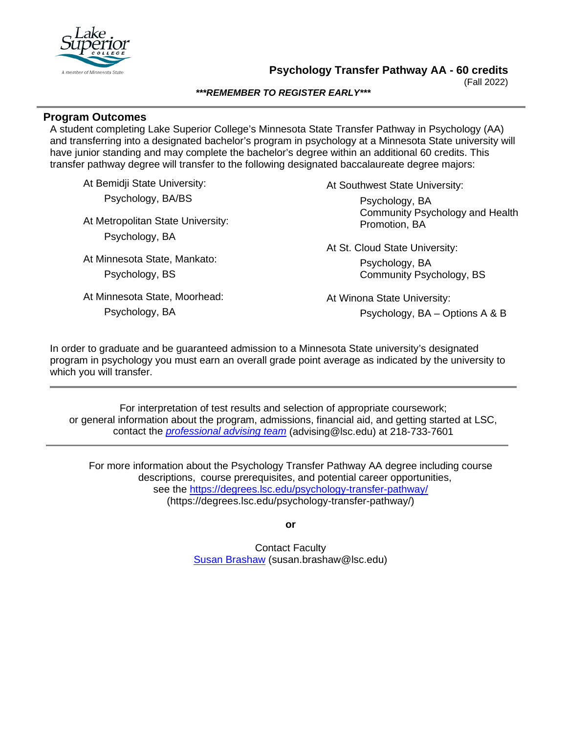

(Fall 2022)

#### *\*\*\*REMEMBER TO REGISTER EARLY\*\*\**

### **Program Outcomes**

A student completing Lake Superior College's Minnesota State Transfer Pathway in Psychology (AA) and transferring into a designated bachelor's program in psychology at a Minnesota State university will have junior standing and may complete the bachelor's degree within an additional 60 credits. This transfer pathway degree will transfer to the following designated baccalaureate degree majors:

At Bemidji State University: Psychology, BA/BS

At Metropolitan State University: Psychology, BA

At Minnesota State, Mankato: Psychology, BS

At Minnesota State, Moorhead:

Psychology, BA

At Southwest State University: Psychology, BA Community Psychology and Health Promotion, BA

At St. Cloud State University: Psychology, BA Community Psychology, BS

At Winona State University: Psychology, BA – Options A & B

In order to graduate and be guaranteed admission to a Minnesota State university's designated program in psychology you must earn an overall grade point average as indicated by the university to which you will transfer.

For interpretation of test results and selection of appropriate coursework; or general information about the program, admissions, financial aid, and getting started at LSC, contact the *[professional advising team](mailto:advising@lsc.edu)* (advising@lsc.edu) at 218-733-7601

For more information about the Psychology Transfer Pathway AA degree including course descriptions, course prerequisites, and potential career opportunities, see the <https://degrees.lsc.edu/psychology-transfer-pathway/> (https://degrees.lsc.edu/psychology-transfer-pathway/)

**or**

Contact Faculty [Susan Brashaw](mailto:susan.brashaw@lsc.edu) (susan.brashaw@lsc.edu)